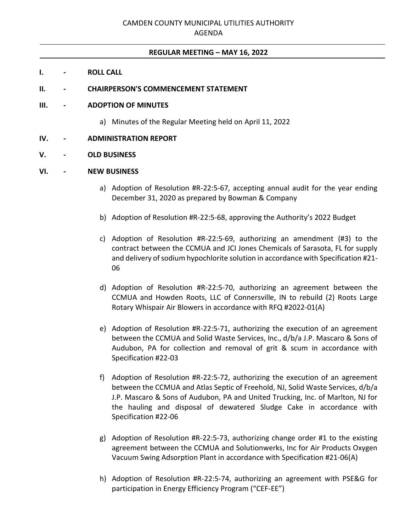## **REGULAR MEETING – MAY 16, 2022**

- **I. - ROLL CALL**
- **II. - CHAIRPERSON'S COMMENCEMENT STATEMENT**

### **III. - ADOPTION OF MINUTES**

a) Minutes of the Regular Meeting held on April 11, 2022

## **IV. - ADMINISTRATION REPORT**

#### **V. - OLD BUSINESS**

#### **VI. - NEW BUSINESS**

- a) Adoption of Resolution #R-22:5-67, accepting annual audit for the year ending December 31, 2020 as prepared by Bowman & Company
- b) Adoption of Resolution #R-22:5-68, approving the Authority's 2022 Budget
- c) Adoption of Resolution #R-22:5-69, authorizing an amendment (#3) to the contract between the CCMUA and JCI Jones Chemicals of Sarasota, FL for supply and delivery of sodium hypochlorite solution in accordance with Specification #21- 06
- d) Adoption of Resolution #R-22:5-70, authorizing an agreement between the CCMUA and Howden Roots, LLC of Connersville, IN to rebuild (2) Roots Large Rotary Whispair Air Blowers in accordance with RFQ #2022-01(A)
- e) Adoption of Resolution #R-22:5-71, authorizing the execution of an agreement between the CCMUA and Solid Waste Services, Inc., d/b/a J.P. Mascaro & Sons of Audubon, PA for collection and removal of grit & scum in accordance with Specification #22-03
- f) Adoption of Resolution #R-22:5-72, authorizing the execution of an agreement between the CCMUA and Atlas Septic of Freehold, NJ, Solid Waste Services, d/b/a J.P. Mascaro & Sons of Audubon, PA and United Trucking, Inc. of Marlton, NJ for the hauling and disposal of dewatered Sludge Cake in accordance with Specification #22-06
- g) Adoption of Resolution #R-22:5-73, authorizing change order #1 to the existing agreement between the CCMUA and Solutionwerks, Inc for Air Products Oxygen Vacuum Swing Adsorption Plant in accordance with Specification #21-06(A)
- h) Adoption of Resolution #R-22:5-74, authorizing an agreement with PSE&G for participation in Energy Efficiency Program ("CEF-EE")